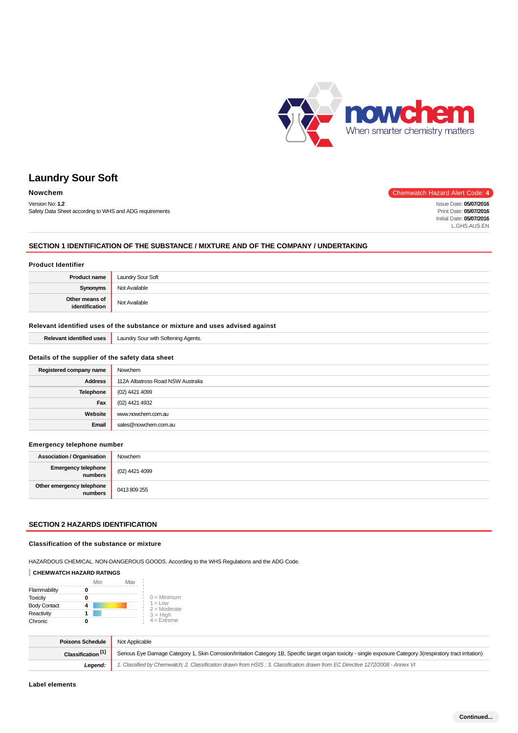

Version No: **1.2** Safety Data Sheet according to WHS and ADG requirements

#### **Nowchem** Chemwatch Hazard Alert Code: 4

Issue Date: **05/07/2016** Print Date: **05/07/2016** Initial Date: **05/07/2016** L.GHS.AUS.EN

### **SECTION 1 IDENTIFICATION OF THE SUBSTANCE / MIXTURE AND OF THE COMPANY / UNDERTAKING**

### **Product Identifier Product name** Laundry Sour Soft **Synonyms** Not Available **Other means of ither means of Not Available**<br>**identification**

#### **Relevant identified uses of the substance or mixture and uses advised against**

**Relevant identified uses** Laundry Sour with Softening Agents.

#### **Details of the supplier of the safety data sheet**

| Registered company name | Nowchem                           |
|-------------------------|-----------------------------------|
| <b>Address</b>          | 112A Albatross Road NSW Australia |
| <b>Telephone</b>        | (02) 4421 4099                    |
| Fax                     | (02) 4421 4932                    |
| Website                 | www.nowchem.com.au                |
| Email                   | sales@nowchem.com.au              |

#### **Emergency telephone number**

| <b>Association / Organisation</b>    | Nowchem        |
|--------------------------------------|----------------|
| Emergency telephone<br>numbers       | (02) 4421 4099 |
| Other emergency telephone<br>numbers | 0413 809 255   |

### **SECTION 2 HAZARDS IDENTIFICATION**

#### **Classification of the substance or mixture**

HAZARDOUS CHEMICAL. NON-DANGEROUS GOODS. According to the WHS Regulations and the ADG Code.

#### **CHEMWATCH HAZARD RATINGS**

|                     | Min | Max |                                    |
|---------------------|-----|-----|------------------------------------|
| Flammability        |     |     |                                    |
| <b>Toxicity</b>     |     |     | $0 =$ Minimum                      |
| <b>Body Contact</b> |     |     | $1 = 1$ $\Omega$<br>$2 =$ Moderate |
| Reactivity          |     |     | $3 = High$                         |
| Chronic             |     |     | $4$ = Extreme                      |

| <b>Poisons Schedule</b> Not Applicable |                                                                                                                                                                 |
|----------------------------------------|-----------------------------------------------------------------------------------------------------------------------------------------------------------------|
| Classification <sup>[1]</sup>          | Serious Eye Damage Category 1, Skin Corrosion/Irritation Category 1B, Specific target organ toxicity - single exposure Category 3(respiratory tract irritation) |
| Legend:                                | 1. Classified by Chemwatch; 2. Classification drawn from HSIS; 3. Classification drawn from EC Directive 1272/2008 - Annex VI                                   |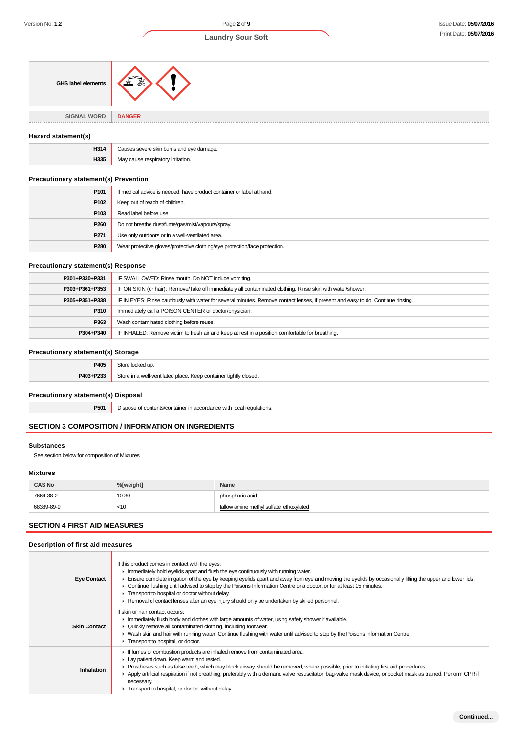| <b>GHS label elements</b>         |                    |
|-----------------------------------|--------------------|
| <b>SIGNAL WORD</b><br>----------- | <b>DANGER</b><br>. |

#### **Hazard statement(s)**

| H314          | amar                      |
|---------------|---------------------------|
| 11996<br>იაათ | ≀tı∩r<br>ירי<br>' Irrita. |

### **Precautionary statement(s) Prevention**

| P101             | If medical advice is needed, have product container or label at hand.      |
|------------------|----------------------------------------------------------------------------|
| P102             | Keep out of reach of children.                                             |
| P103             | Read label before use.                                                     |
| P <sub>260</sub> | Do not breathe dust/fume/gas/mist/vapours/spray.                           |
| P271             | Use only outdoors or in a well-ventilated area.                            |
| P280             | Wear protective gloves/protective clothing/eye protection/face protection. |

#### **Precautionary statement(s) Response**

| P301+P330+P331 | IF SWALLOWED: Rinse mouth. Do NOT induce vomiting.                                                                               |
|----------------|----------------------------------------------------------------------------------------------------------------------------------|
| P303+P361+P353 | IF ON SKIN (or hair): Remove/Take off immediately all contaminated clothing. Rinse skin with water/shower.                       |
| P305+P351+P338 | IF IN EYES: Rinse cautiously with water for several minutes. Remove contact lenses, if present and easy to do. Continue rinsing. |
| P310           | Immediately call a POISON CENTER or doctor/physician.                                                                            |
| P363           | Wash contaminated clothing before reuse.                                                                                         |
| P304+P340      | IF INHALED: Remove victim to fresh air and keep at rest in a position comfortable for breathing.                                 |

### **Precautionary statement(s) Storage**

| P405      | locked up.                                                       |
|-----------|------------------------------------------------------------------|
| P403+P233 | Store in a well-ventilated place. Keep container tightly closed. |

### **Precautionary statement(s) Disposal**

**P501** Dispose of contents/container in accordance with local regulations.

## **SECTION 3 COMPOSITION / INFORMATION ON INGREDIENTS**

#### **Substances**

See section below for composition of Mixtures

### **Mixtures**

| <b>CAS No</b> | %[weight] | <b>Name</b>                           |
|---------------|-----------|---------------------------------------|
| 7664-38-2     | 10-30     | phosphoric acid                       |
| 68389-89-9    | $<$ 10    | low amine methyl sulfate, ethoxylated |

### **SECTION 4 FIRST AID MEASURES**

| Description of first aid measures |  |  |  |  |
|-----------------------------------|--|--|--|--|
|-----------------------------------|--|--|--|--|

| <b>Eye Contact</b>  | If this product comes in contact with the eyes:<br>$\blacktriangleright$ Immediately hold eyelids apart and flush the eye continuously with running water.<br>Ensure complete irrigation of the eye by keeping eyelids apart and away from eye and moving the eyelids by occasionally lifting the upper and lower lids.<br>► Continue flushing until advised to stop by the Poisons Information Centre or a doctor, or for at least 15 minutes.<br>Transport to hospital or doctor without delay.<br>Removal of contact lenses after an eye injury should only be undertaken by skilled personnel. |
|---------------------|----------------------------------------------------------------------------------------------------------------------------------------------------------------------------------------------------------------------------------------------------------------------------------------------------------------------------------------------------------------------------------------------------------------------------------------------------------------------------------------------------------------------------------------------------------------------------------------------------|
| <b>Skin Contact</b> | If skin or hair contact occurs:<br>Immediately flush body and clothes with large amounts of water, using safety shower if available.<br>• Quickly remove all contaminated clothing, including footwear.<br>► Wash skin and hair with running water. Continue flushing with water until advised to stop by the Poisons Information Centre.<br>Transport to hospital, or doctor.                                                                                                                                                                                                                     |
| <b>Inhalation</b>   | If fumes or combustion products are inhaled remove from contaminated area.<br>Lay patient down. Keep warm and rested.<br>► Prostheses such as false teeth, which may block airway, should be removed, where possible, prior to initiating first aid procedures.<br>Apply artificial respiration if not breathing, preferably with a demand valve resuscitator, bag-valve mask device, or pocket mask as trained. Perform CPR if<br>necessary.<br>Transport to hospital, or doctor, without delay.                                                                                                  |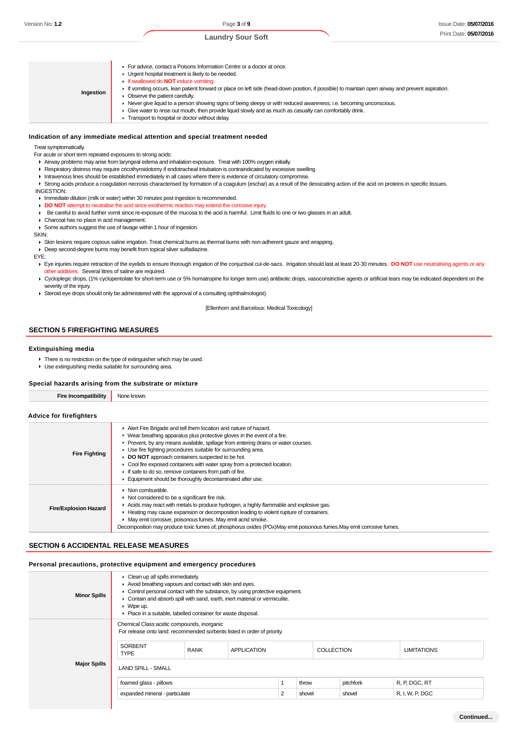For advice, contact a Poisons Information Centre or a doctor at once. **F** Urgent hospital treatment is likely to be needed. If swallowed do **NOT** induce vomiting. If vomiting occurs, lean patient forward or place on left side (head-down position, if possible) to maintain open airway and prevent aspiration. **Ingestion** ▶ Observe the patient carefully. Never give liquid to a person showing signs of being sleepy or with reduced awareness; i.e. becoming unconscious.  $\mathbf{r}$ Give water to rinse out mouth, then provide liquid slowly and as much as casualty can comfortably drink. **F** Transport to hospital or doctor without delay.

#### **Indication of any immediate medical attention and special treatment needed**

#### Treat symptomatically.

For acute or short term repeated exposures to strong acids:

- Airway problems may arise from laryngeal edema and inhalation exposure. Treat with 100% oxygen initially.
- Respiratory distress may require cricothyroidotomy if endotracheal intubation is contraindicated by excessive swelling
- Intravenous lines should be established immediately in all cases where there is evidence of circulatory compromise.
- ► Strong acids produce a coagulation necrosis characterised by formation of a coagulum (eschar) as a result of the dessicating action of the acid on proteins in specific tissues. INGESTION:
- **Immediate dilution (milk or water) within 30 minutes post ingestion is recommended.**
- **DO NOT** attempt to neutralise the acid since exothermic reaction may extend the corrosive injury.
- Be careful to avoid further vomit since re-exposure of the mucosa to the acid is harmful. Limit fluids to one or two glasses in an adult.
- Charcoal has no place in acid management.

Some authors suggest the use of lavage within 1 hour of ingestion.

SKIN:

Skin lesions require copious saline irrigation. Treat chemical burns as thermal burns with non-adherent gauze and wrapping.

Deep second-degree burns may benefit from topical silver sulfadiazine.

#### EYE:

- Eye injuries require retraction of the eyelids to ensure thorough irrigation of the conjuctival cul-de-sacs. Irrigation should last at least 20-30 minutes. **DO NOT** use neutralising agents or any other additives. Several litres of saline are required.
- ▶ Cycloplegic drops, (1% cyclopentolate for short-term use or 5% homatropine for longer term use) antibiotic drops, vasoconstrictive agents or artificial tears may be indicated dependent on the severity of the injury.
- Steroid eye drops should only be administered with the approval of a consulting ophthalmologist).

[Ellenhorn and Barceloux: Medical Toxicology]

#### **SECTION 5 FIREFIGHTING MEASURES**

#### **Extinguishing media**

- ▶ There is no restriction on the type of extinguisher which may be used.
- Use extinguishing media suitable for surrounding area.

| Special hazards arising from the substrate or mixture |                                                                                                                                                                                                                                                                                                                                                                                                                                                                                                                                                            |  |  |
|-------------------------------------------------------|------------------------------------------------------------------------------------------------------------------------------------------------------------------------------------------------------------------------------------------------------------------------------------------------------------------------------------------------------------------------------------------------------------------------------------------------------------------------------------------------------------------------------------------------------------|--|--|
| <b>Fire Incompatibility</b>                           | None known.                                                                                                                                                                                                                                                                                                                                                                                                                                                                                                                                                |  |  |
| Advice for firefighters                               |                                                                                                                                                                                                                                                                                                                                                                                                                                                                                                                                                            |  |  |
| <b>Fire Fighting</b>                                  | Alert Fire Brigade and tell them location and nature of hazard.<br>▶ Wear breathing apparatus plus protective gloves in the event of a fire.<br>• Prevent, by any means available, spillage from entering drains or water courses.<br>▶ Use fire fighting procedures suitable for surrounding area.<br>DO NOT approach containers suspected to be hot.<br>• Cool fire exposed containers with water spray from a protected location.<br>If safe to do so, remove containers from path of fire.<br>Equipment should be thoroughly decontaminated after use. |  |  |
| <b>Fire/Explosion Hazard</b>                          | $\triangleright$ Non combustible.<br>Not considered to be a significant fire risk.<br>Acids may react with metals to produce hydrogen, a highly flammable and explosive gas.<br>► Heating may cause expansion or decomposition leading to violent rupture of containers.<br>• May emit corrosive, poisonous fumes. May emit acrid smoke.<br>Decomposition may produce toxic fumes of; phosphorus oxides (POx)May emit poisonous fumes. May emit corrosive fumes.                                                                                           |  |  |

#### **SECTION 6 ACCIDENTAL RELEASE MEASURES**

#### **Personal precautions, protective equipment and emergency procedures**

| <b>Minor Spills</b> | $\triangleright$ Clean up all spills immediately.<br>Avoid breathing vapours and contact with skin and eyes.<br>• Control personal contact with the substance, by using protective equipment.<br>• Contain and absorb spill with sand, earth, inert material or vermiculite.<br>$\triangleright$ Wipe up.<br>▶ Place in a suitable, labelled container for waste disposal. |                                |                    |       |        |                   |               |                    |
|---------------------|----------------------------------------------------------------------------------------------------------------------------------------------------------------------------------------------------------------------------------------------------------------------------------------------------------------------------------------------------------------------------|--------------------------------|--------------------|-------|--------|-------------------|---------------|--------------------|
|                     | Chemical Class: acidic compounds, inorganic<br>For release onto land: recommended sorbents listed in order of priority.<br><b>SORBENT</b><br><b>TYPE</b>                                                                                                                                                                                                                   | <b>RANK</b>                    | <b>APPLICATION</b> |       |        | <b>COLLECTION</b> |               | <b>LIMITATIONS</b> |
| <b>Major Spills</b> | <b>LAND SPILL - SMALL</b><br>foamed glass - pillows                                                                                                                                                                                                                                                                                                                        |                                |                    | throw |        | pitchfork         | R, P, DGC, RT |                    |
|                     |                                                                                                                                                                                                                                                                                                                                                                            | expanded mineral - particulate |                    |       | shovel |                   | shovel        | R, I, W, P, DGC    |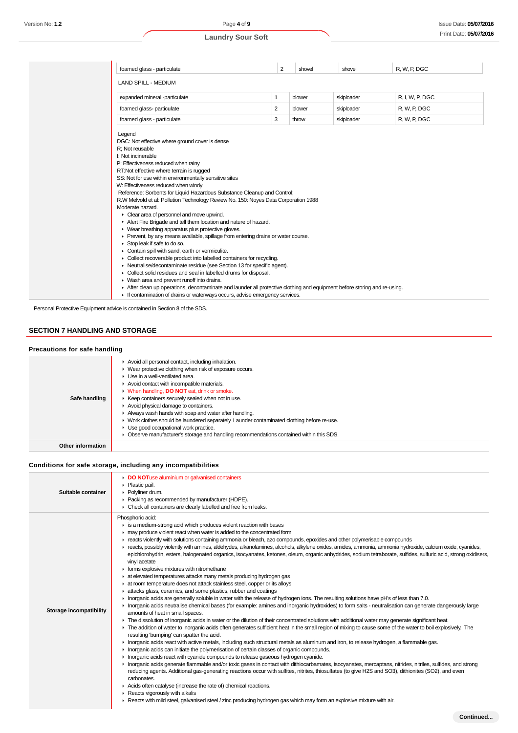| foamed glass - particulate                                                                                                                                                                                                                                                                                                                                                                                                                                                                                                                                                                                                                                                                                                                                                                                                                                                                                                                                                                                                                                                                                                                                                                                                                                                                                               | 2 | shovel | shovel     | R, W, P, DGC    |
|--------------------------------------------------------------------------------------------------------------------------------------------------------------------------------------------------------------------------------------------------------------------------------------------------------------------------------------------------------------------------------------------------------------------------------------------------------------------------------------------------------------------------------------------------------------------------------------------------------------------------------------------------------------------------------------------------------------------------------------------------------------------------------------------------------------------------------------------------------------------------------------------------------------------------------------------------------------------------------------------------------------------------------------------------------------------------------------------------------------------------------------------------------------------------------------------------------------------------------------------------------------------------------------------------------------------------|---|--------|------------|-----------------|
| <b>LAND SPILL - MEDIUM</b>                                                                                                                                                                                                                                                                                                                                                                                                                                                                                                                                                                                                                                                                                                                                                                                                                                                                                                                                                                                                                                                                                                                                                                                                                                                                                               |   |        |            |                 |
| expanded mineral -particulate                                                                                                                                                                                                                                                                                                                                                                                                                                                                                                                                                                                                                                                                                                                                                                                                                                                                                                                                                                                                                                                                                                                                                                                                                                                                                            | 1 | blower | skiploader | R. I. W. P. DGC |
| foamed glass- particulate                                                                                                                                                                                                                                                                                                                                                                                                                                                                                                                                                                                                                                                                                                                                                                                                                                                                                                                                                                                                                                                                                                                                                                                                                                                                                                | 2 | blower | skiploader | R, W, P, DGC    |
| foamed glass - particulate                                                                                                                                                                                                                                                                                                                                                                                                                                                                                                                                                                                                                                                                                                                                                                                                                                                                                                                                                                                                                                                                                                                                                                                                                                                                                               | 3 | throw  | skiploader | R, W, P, DGC    |
| Legend<br>DGC: Not effective where ground cover is dense<br>R; Not reusable<br>I: Not incinerable<br>P: Effectiveness reduced when rainy<br>RT:Not effective where terrain is rugged<br>SS: Not for use within environmentally sensitive sites<br>W: Effectiveness reduced when windy<br>Reference: Sorbents for Liquid Hazardous Substance Cleanup and Control;<br>R.W Melvold et al: Pollution Technology Review No. 150: Noyes Data Corporation 1988<br>Moderate hazard.<br>Clear area of personnel and move upwind.<br>Alert Fire Brigade and tell them location and nature of hazard.<br>• Wear breathing apparatus plus protective gloves.<br>▶ Prevent, by any means available, spillage from entering drains or water course.<br>$\triangleright$ Stop leak if safe to do so.<br>Contain spill with sand, earth or vermiculite.<br>• Collect recoverable product into labelled containers for recycling.<br>• Neutralise/decontaminate residue (see Section 13 for specific agent).<br>• Collect solid residues and seal in labelled drums for disposal.<br>• Wash area and prevent runoff into drains.<br>After clean up operations, decontaminate and launder all protective clothing and equipment before storing and re-using.<br>If contamination of drains or waterways occurs, advise emergency services. |   |        |            |                 |

Personal Protective Equipment advice is contained in Section 8 of the SDS.

### **SECTION 7 HANDLING AND STORAGE**

#### **Precautions for safe handling** Avoid all personal contact, including inhalation. Wear protective clothing when risk of exposure occurs. ▶ Use in a well-ventilated area. Avoid contact with incompatible materials. When handling, **DO NOT** eat, drink or smoke.  $\blacktriangleright$ **Safe handling** ► Keep containers securely sealed when not in use. Avoid physical damage to containers. Always wash hands with soap and water after handling. ▶ Work clothes should be laundered separately. Launder contaminated clothing before re-use. Use good occupational work practice. Observe manufacturer's storage and handling recommendations contained within this SDS. **Other information**

### **Conditions for safe storage, including any incompatibilities**

| Suitable container      | DO NOTuse aluminium or galvanised containers<br>• Plastic pail.<br>Polyliner drum.<br>Packing as recommended by manufacturer (HDPE).<br>▶ Check all containers are clearly labelled and free from leaks.                                                                                                                                                                                                                                                                                                                                                                                                                                                                                                                                                                                                                                                                                                                                                                                                                                                                                                                                                                                                                                                                                                                                                                                                                                                                                                                                                                                                                                                                                                                                                                                                                                                                                                                                                                                                                                                                                                                                                                                                                                                                                                                                                                                                                                                                                                                                                                 |
|-------------------------|--------------------------------------------------------------------------------------------------------------------------------------------------------------------------------------------------------------------------------------------------------------------------------------------------------------------------------------------------------------------------------------------------------------------------------------------------------------------------------------------------------------------------------------------------------------------------------------------------------------------------------------------------------------------------------------------------------------------------------------------------------------------------------------------------------------------------------------------------------------------------------------------------------------------------------------------------------------------------------------------------------------------------------------------------------------------------------------------------------------------------------------------------------------------------------------------------------------------------------------------------------------------------------------------------------------------------------------------------------------------------------------------------------------------------------------------------------------------------------------------------------------------------------------------------------------------------------------------------------------------------------------------------------------------------------------------------------------------------------------------------------------------------------------------------------------------------------------------------------------------------------------------------------------------------------------------------------------------------------------------------------------------------------------------------------------------------------------------------------------------------------------------------------------------------------------------------------------------------------------------------------------------------------------------------------------------------------------------------------------------------------------------------------------------------------------------------------------------------------------------------------------------------------------------------------------------------|
| Storage incompatibility | Phosphoric acid:<br>$\triangleright$ is a medium-strong acid which produces violent reaction with bases<br>may produce violent react when water is added to the concentrated form<br>F reacts violently with solutions containing ammonia or bleach, azo compounds, epoxides and other polymerisable compounds<br>reacts, possibly violently with amines, aldehydes, alkanolamines, alcohols, alkylene oxides, amides, ammonia, ammonia hydroxide, calcium oxide, cyanides,<br>epichlorohydrin, esters, halogenated organics, isocyanates, ketones, oleum, organic anhydrides, sodium tetraborate, sulfides, sulfuric acid, strong oxidisers,<br>vinyl acetate<br>forms explosive mixtures with nitromethane<br>at elevated temperatures attacks many metals producing hydrogen gas<br>at room temperature does not attack stainless steel, copper or its alloys<br>attacks glass, ceramics, and some plastics, rubber and coatings<br>In organic acids are generally soluble in water with the release of hydrogen ions. The resulting solutions have pH's of less than 7.0.<br>Interprision carries and the metallies education of larger parameters and interest interpret interpret intervalse to form salts - neutralisation can generate dangerously large<br>amounts of heat in small spaces.<br>• The dissolution of inorganic acids in water or the dilution of their concentrated solutions with additional water may generate significant heat.<br>The addition of water to inorganic acids often generates sufficient heat in the small region of mixing to cause some of the water to boil explosively. The<br>resulting 'bumping' can spatter the acid.<br>Inorganic acids react with active metals, including such structural metals as aluminum and iron, to release hydrogen, a flammable gas.<br>In Inorganic acids can initiate the polymerisation of certain classes of organic compounds.<br>In Inorganic acids react with cyanide compounds to release gaseous hydrogen cyanide.<br>Inorganic acids generate flammable and/or toxic gases in contact with dithiocarbamates, isocyanates, mercaptans, nitrides, nitriles, sulfides, and strong<br>reducing agents. Additional gas-generating reactions occur with sulfites, nitrites, thiosulfates (to give H2S and SO3), dithionites (SO2), and even<br>carbonates.<br>Acids often catalyse (increase the rate of) chemical reactions.<br>Reacts vigorously with alkalis<br>▶ Reacts with mild steel, galvanised steel / zinc producing hydrogen gas which may form an explosive mixture with air. |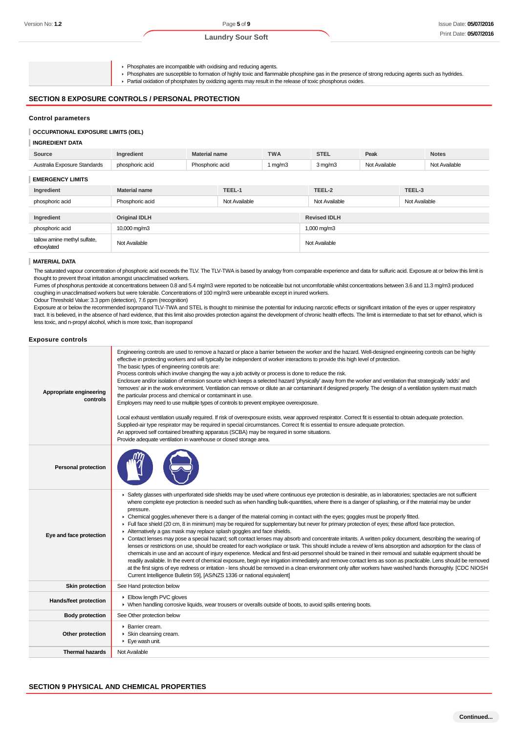- Phosphates are incompatible with oxidising and reducing agents.
- Phosphates are susceptible to formation of highly toxic and flammable phosphine gas in the presence of strong reducing agents such as hydrides.
- Partial oxidation of phosphates by oxidizing agents may result in the release of toxic phosphorus oxides.

### **SECTION 8 EXPOSURE CONTROLS / PERSONAL PROTECTION**

#### **Control parameters**

#### **OCCUPATIONAL EXPOSURE LIMITS (OEL)**

#### **INGREDIENT DATA**

| Source                                      | Ingredient           | <b>Material name</b> |               | <b>TWA</b> | <b>STEL</b>             | Peak          |               | <b>Notes</b>  |
|---------------------------------------------|----------------------|----------------------|---------------|------------|-------------------------|---------------|---------------|---------------|
| Australia Exposure Standards                | phosphoric acid      | Phosphoric acid      |               | 1 mg/m $3$ | $3$ mg/m $3$            | Not Available |               | Not Available |
| <b>EMERGENCY LIMITS</b>                     |                      |                      |               |            |                         |               |               |               |
| Ingredient                                  | <b>Material name</b> |                      | TEEL-1        |            | TEEL-2                  |               | TEEL-3        |               |
| phosphoric acid                             | Phosphoric acid      |                      | Not Available |            | Not Available           |               | Not Available |               |
|                                             |                      |                      |               |            |                         |               |               |               |
| Ingredient                                  | <b>Original IDLH</b> |                      |               |            | <b>Revised IDLH</b>     |               |               |               |
| phosphoric acid                             | 10,000 mg/m3         |                      |               |            | $1,000 \,\mathrm{mg/m}$ |               |               |               |
| tallow amine methyl sulfate,<br>ethoxylated | Not Available        |                      |               |            | Not Available           |               |               |               |

#### **MATERIAL DATA**

The saturated vapour concentration of phosphoric acid exceeds the TLV-TWA is based by analogy from comparable experience and data for sulfuric acid. Exposure at or below this limit is thought to prevent throat irritation amongst unacclimatised workers.

Fumes of phosphorus pentoxide at concentrations between 0.8 and 5.4 mg/m3 were reported to be noticeable but not uncomfortable whilst concentrations between 3.6 and 11.3 mg/m3 produced coughing in unacclimatised workers but were tolerable. Concentrations of 100 mg/m3 were unbearable except in inured workers.

Odour Threshold Value: 3.3 ppm (detection), 7.6 ppm (recognition)

Exposure at or below the recommended isopropanol TLV-TWA and STEL is thought to minimise the potential for inducing narcotic effects or significant irritation of the eyes or upper respiratory tract. It is believed, in the absence of hard evidence, that this limit also provides protection against the development of chronic health effects. The limit is intermediate to that set for ethanol, which is less toxic, and n-propyl alcohol, which is more toxic, than isopropanol

#### **Exposure controls**

| Appropriate engineering<br>controls | Engineering controls are used to remove a hazard or place a barrier between the worker and the hazard. Well-designed engineering controls can be highly<br>effective in protecting workers and will typically be independent of worker interactions to provide this high level of protection.<br>The basic types of engineering controls are:<br>Process controls which involve changing the way a job activity or process is done to reduce the risk.<br>Enclosure and/or isolation of emission source which keeps a selected hazard 'physically' away from the worker and ventilation that strategically 'adds' and<br>'removes' air in the work environment. Ventilation can remove or dilute an air contaminant if designed properly. The design of a ventilation system must match<br>the particular process and chemical or contaminant in use.<br>Employers may need to use multiple types of controls to prevent employee overexposure.<br>Local exhaust ventilation usually required. If risk of overexposure exists, wear approved respirator. Correct fit is essential to obtain adequate protection.<br>Supplied-air type respirator may be required in special circumstances. Correct fit is essential to ensure adequate protection.<br>An approved self contained breathing apparatus (SCBA) may be required in some situations.<br>Provide adequate ventilation in warehouse or closed storage area.                                                                                                                                                                                   |
|-------------------------------------|--------------------------------------------------------------------------------------------------------------------------------------------------------------------------------------------------------------------------------------------------------------------------------------------------------------------------------------------------------------------------------------------------------------------------------------------------------------------------------------------------------------------------------------------------------------------------------------------------------------------------------------------------------------------------------------------------------------------------------------------------------------------------------------------------------------------------------------------------------------------------------------------------------------------------------------------------------------------------------------------------------------------------------------------------------------------------------------------------------------------------------------------------------------------------------------------------------------------------------------------------------------------------------------------------------------------------------------------------------------------------------------------------------------------------------------------------------------------------------------------------------------------------------------------------------------------------------------------------------|
| <b>Personal protection</b>          |                                                                                                                                                                                                                                                                                                                                                                                                                                                                                                                                                                                                                                                                                                                                                                                                                                                                                                                                                                                                                                                                                                                                                                                                                                                                                                                                                                                                                                                                                                                                                                                                        |
| Eye and face protection             | ▶ Safety glasses with unperforated side shields may be used where continuous eye protection is desirable, as in laboratories; spectacles are not sufficient<br>where complete eye protection is needed such as when handling bulk-quantities, where there is a danger of splashing, or if the material may be under<br>pressure.<br>• Chemical goggles whenever there is a danger of the material coming in contact with the eyes; goggles must be properly fitted.<br>Full face shield (20 cm, 8 in minimum) may be required for supplementary but never for primary protection of eyes; these afford face protection.<br>Alternatively a gas mask may replace splash goggles and face shields.<br>• Contact lenses may pose a special hazard; soft contact lenses may absorb and concentrate irritants. A written policy document, describing the wearing of<br>lenses or restrictions on use, should be created for each workplace or task. This should include a review of lens absorption and adsorption for the class of<br>chemicals in use and an account of injury experience. Medical and first-aid personnel should be trained in their removal and suitable equipment should be<br>readily available. In the event of chemical exposure, begin eye irrigation immediately and remove contact lens as soon as practicable. Lens should be removed<br>at the first signs of eye redness or irritation - lens should be removed in a clean environment only after workers have washed hands thoroughly. [CDC NIOSH<br>Current Intelligence Bulletin 59], [AS/NZS 1336 or national equivalent] |
| Skin protection                     | See Hand protection below                                                                                                                                                                                                                                                                                                                                                                                                                                                                                                                                                                                                                                                                                                                                                                                                                                                                                                                                                                                                                                                                                                                                                                                                                                                                                                                                                                                                                                                                                                                                                                              |
| Hands/feet protection               | Elbow length PVC gloves<br>► When handling corrosive liquids, wear trousers or overalls outside of boots, to avoid spills entering boots.                                                                                                                                                                                                                                                                                                                                                                                                                                                                                                                                                                                                                                                                                                                                                                                                                                                                                                                                                                                                                                                                                                                                                                                                                                                                                                                                                                                                                                                              |
| <b>Body protection</b>              | See Other protection below                                                                                                                                                                                                                                                                                                                                                                                                                                                                                                                                                                                                                                                                                                                                                                                                                                                                                                                                                                                                                                                                                                                                                                                                                                                                                                                                                                                                                                                                                                                                                                             |
| Other protection                    | ▶ Barrier cream.<br>Skin cleansing cream.<br>$\blacktriangleright$ Eye wash unit.                                                                                                                                                                                                                                                                                                                                                                                                                                                                                                                                                                                                                                                                                                                                                                                                                                                                                                                                                                                                                                                                                                                                                                                                                                                                                                                                                                                                                                                                                                                      |
| <b>Thermal hazards</b>              | Not Available                                                                                                                                                                                                                                                                                                                                                                                                                                                                                                                                                                                                                                                                                                                                                                                                                                                                                                                                                                                                                                                                                                                                                                                                                                                                                                                                                                                                                                                                                                                                                                                          |

#### **SECTION 9 PHYSICAL AND CHEMICAL PROPERTIES**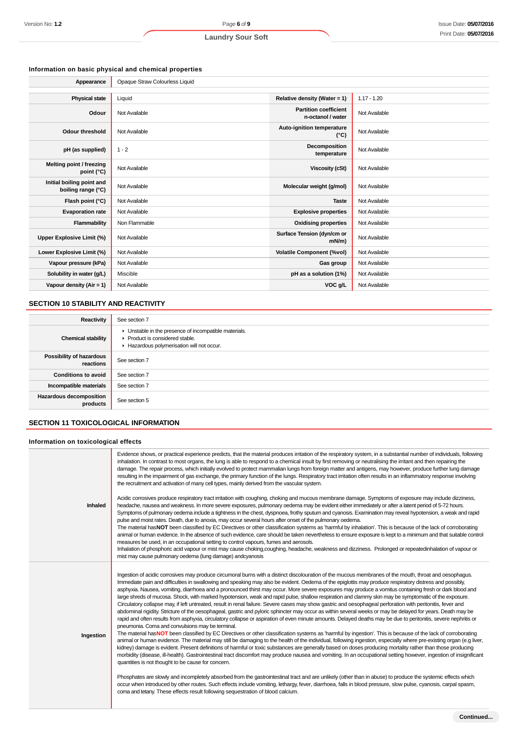### **Information on basic physical and chemical properties**

| Appearance                                      | Opaque Straw Colourless Liquid |                                                   |               |
|-------------------------------------------------|--------------------------------|---------------------------------------------------|---------------|
|                                                 |                                |                                                   |               |
| <b>Physical state</b>                           | Liquid                         | Relative density (Water = 1)                      | $1.17 - 1.20$ |
| Odour                                           | Not Available                  | <b>Partition coefficient</b><br>n-octanol / water | Not Available |
| <b>Odour threshold</b>                          | Not Available                  | Auto-ignition temperature<br>$(^{\circ}C)$        | Not Available |
| pH (as supplied)                                | $1 - 2$                        | Decomposition<br>temperature                      | Not Available |
| Melting point / freezing<br>point $(^{\circ}C)$ | Not Available                  | <b>Viscosity (cSt)</b>                            | Not Available |
| Initial boiling point and<br>boiling range (°C) | Not Available                  | Molecular weight (g/mol)                          | Not Available |
| Flash point (°C)                                | Not Available                  | <b>Taste</b>                                      | Not Available |
| <b>Evaporation rate</b>                         | Not Available                  | <b>Explosive properties</b>                       | Not Available |
| Flammability                                    | Non Flammable                  | <b>Oxidising properties</b>                       | Not Available |
| Upper Explosive Limit (%)                       | Not Available                  | Surface Tension (dyn/cm or<br>$mN/m$ )            | Not Available |
| Lower Explosive Limit (%)                       | Not Available                  | <b>Volatile Component (%vol)</b>                  | Not Available |
| Vapour pressure (kPa)                           | Not Available                  | Gas group                                         | Not Available |
| Solubility in water (g/L)                       | Miscible                       | pH as a solution (1%)                             | Not Available |
| Vapour density $(Air = 1)$                      | Not Available                  | VOC g/L                                           | Not Available |

### **SECTION 10 STABILITY AND REACTIVITY**

| <b>Reactivity</b>                          | See section 7                                                                                                                      |
|--------------------------------------------|------------------------------------------------------------------------------------------------------------------------------------|
| <b>Chemical stability</b>                  | • Unstable in the presence of incompatible materials.<br>Product is considered stable.<br>Hazardous polymerisation will not occur. |
| Possibility of hazardous<br>reactions      | See section 7                                                                                                                      |
| <b>Conditions to avoid</b>                 | See section 7                                                                                                                      |
| Incompatible materials                     | See section 7                                                                                                                      |
| <b>Hazardous decomposition</b><br>products | See section 5                                                                                                                      |

### **SECTION 11 TOXICOLOGICAL INFORMATION**

### **Information on toxicological effects**

|           | Evidence shows, or practical experience predicts, that the material produces irritation of the respiratory system, in a substantial number of individuals, following<br>inhalation. In contrast to most organs, the lung is able to respond to a chemical insult by first removing or neutralising the irritant and then repairing the<br>damage. The repair process, which initially evolved to protect mammalian lungs from foreign matter and antigens, may however, produce further lung damage<br>resulting in the impairment of gas exchange, the primary function of the lungs. Respiratory tract irritation often results in an inflammatory response involving<br>the recruitment and activation of many cell types, mainly derived from the vascular system.                                                                                                                                                                                                                                                                                                                                                                                                                                                                                                                                                                                                                                                                                                                                                                                                                                                                                                                                                                                                                                                                                                                                                                                                                                                                                                                                                                                                                                                                                                                                                                           |
|-----------|--------------------------------------------------------------------------------------------------------------------------------------------------------------------------------------------------------------------------------------------------------------------------------------------------------------------------------------------------------------------------------------------------------------------------------------------------------------------------------------------------------------------------------------------------------------------------------------------------------------------------------------------------------------------------------------------------------------------------------------------------------------------------------------------------------------------------------------------------------------------------------------------------------------------------------------------------------------------------------------------------------------------------------------------------------------------------------------------------------------------------------------------------------------------------------------------------------------------------------------------------------------------------------------------------------------------------------------------------------------------------------------------------------------------------------------------------------------------------------------------------------------------------------------------------------------------------------------------------------------------------------------------------------------------------------------------------------------------------------------------------------------------------------------------------------------------------------------------------------------------------------------------------------------------------------------------------------------------------------------------------------------------------------------------------------------------------------------------------------------------------------------------------------------------------------------------------------------------------------------------------------------------------------------------------------------------------------------------------|
| Inhaled   | Acidic corrosives produce respiratory tract irritation with coughing, choking and mucous membrane damage. Symptoms of exposure may include dizziness,<br>headache, nausea and weakness. In more severe exposures, pulmonary oedema may be evident either immediately or after a latent period of 5-72 hours.<br>Symptoms of pulmonary oedema include a tightness in the chest, dyspnoea, frothy sputum and cyanosis. Examination may reveal hypotension, a weak and rapid<br>pulse and moist rates. Death, due to anoxia, may occur several hours after onset of the pulmonary oedema.<br>The material hasNOT been classified by EC Directives or other classification systems as 'harmful by inhalation'. This is because of the lack of corroborating<br>animal or human evidence. In the absence of such evidence, care should be taken nevertheless to ensure exposure is kept to a minimum and that suitable control<br>measures be used, in an occupational setting to control vapours, fumes and aerosols.<br>Inhalation of phosphoric acid vapour or mist may cause choking,coughing, headache, weakness and dizziness. Prolonged or repeatedinhalation of vapour or<br>mist may cause pulmonary oedema (lung damage) and cyanosis                                                                                                                                                                                                                                                                                                                                                                                                                                                                                                                                                                                                                                                                                                                                                                                                                                                                                                                                                                                                                                                                                                       |
| Ingestion | Ingestion of acidic corrosives may produce circumoral burns with a distinct discolouration of the mucous membranes of the mouth, throat and oesophagus.<br>Immediate pain and difficulties in swallowing and speaking may also be evident. Oedema of the epiglottis may produce respiratory distress and possibly,<br>asphyxia. Nausea, vomiting, diarrhoea and a pronounced thirst may occur. More severe exposures may produce a vomitus containing fresh or dark blood and<br>large shreds of mucosa. Shock, with marked hypotension, weak and rapid pulse, shallow respiration and clammy skin may be symptomatic of the exposure.<br>Circulatory collapse may, if left untreated, result in renal failure. Severe cases may show gastric and oesophageal perforation with peritonitis, fever and<br>abdominal rigidity. Stricture of the oesophageal, gastric and pyloric sphincter may occur as within several weeks or may be delayed for years. Death may be<br>rapid and often results from asphyxia, circulatory collapse or aspiration of even minute amounts. Delayed deaths may be due to peritonitis, severe nephritis or<br>pneumonia. Coma and convulsions may be terminal.<br>The material hasNOT been classified by EC Directives or other classification systems as 'harmful by ingestion'. This is because of the lack of corroborating<br>animal or human evidence. The material may still be damaging to the health of the individual, following ingestion, especially where pre-existing organ (e.g liver,<br>kidney) damage is evident. Present definitions of harmful or toxic substances are generally based on doses producing mortality rather than those producing<br>morbidity (disease, ill-health). Gastrointestinal tract discomfort may produce nausea and vomiting. In an occupational setting however, ingestion of insignificant<br>quantities is not thought to be cause for concern.<br>Phosphates are slowly and incompletely absorbed from the gastrointestinal tract and are unlikely (other than in abuse) to produce the systemic effects which<br>occur when introduced by other routes. Such effects include vomiting, lethargy, fever, diarrhoea, falls in blood pressure, slow pulse, cyanosis, carpal spasm,<br>coma and tetany. These effects result following sequestration of blood calcium. |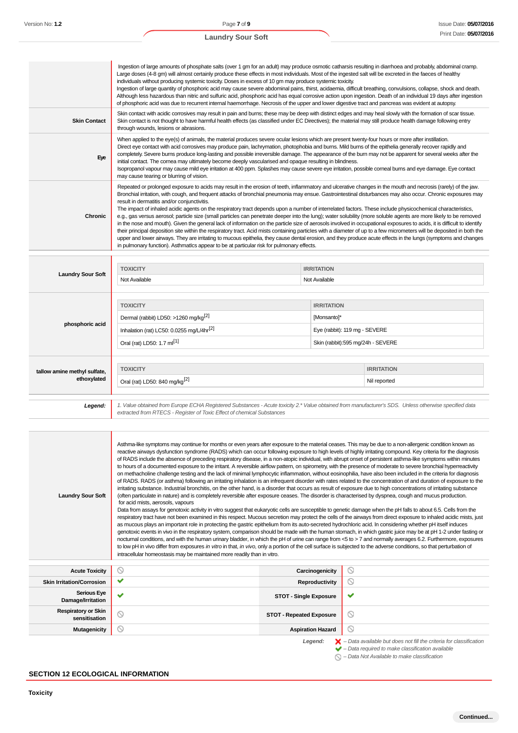| <b>Laundry Sour Soft</b> | <b>TOXICITY</b><br>Not Available                                                                                                                                                                                                                                                                                                                                                                                                                                                                                                                                                                                                                                                                                                                                                                                                                                                                                                                                                                                                                                                                                                                                                                                                                                                                                                     | <b>IRRITATION</b><br>Not Available |
|--------------------------|--------------------------------------------------------------------------------------------------------------------------------------------------------------------------------------------------------------------------------------------------------------------------------------------------------------------------------------------------------------------------------------------------------------------------------------------------------------------------------------------------------------------------------------------------------------------------------------------------------------------------------------------------------------------------------------------------------------------------------------------------------------------------------------------------------------------------------------------------------------------------------------------------------------------------------------------------------------------------------------------------------------------------------------------------------------------------------------------------------------------------------------------------------------------------------------------------------------------------------------------------------------------------------------------------------------------------------------|------------------------------------|
| <b>Chronic</b>           | Repeated or prolonged exposure to acids may result in the erosion of teeth, inflammatory and ulcerative changes in the mouth and necrosis (rarely) of the jaw.<br>Bronchial irritation, with cough, and frequent attacks of bronchial pneumonia may ensue. Gastrointestinal disturbances may also occur. Chronic exposures may<br>result in dermatitis and/or conjunctivitis.<br>The impact of inhaled acidic agents on the respiratory tract depends upon a number of interrelated factors. These include physicochemical characteristics,<br>e.g., gas versus aerosol; particle size (small particles can penetrate deeper into the lung); water solubility (more soluble agents are more likely to be removed<br>in the nose and mouth). Given the general lack of information on the particle size of aerosols involved in occupational exposures to acids, it is difficult to identify<br>their principal deposition site within the respiratory tract. Acid mists containing particles with a diameter of up to a few micrometers will be deposited in both the<br>upper and lower airways. They are irritating to mucous epithelia, they cause dental erosion, and they produce acute effects in the lungs (symptoms and changes<br>in pulmonary function). Asthmatics appear to be at particular risk for pulmonary effects. |                                    |
| Eye                      | When applied to the eye(s) of animals, the material produces severe ocular lesions which are present twenty-four hours or more after instillation.<br>Direct eye contact with acid corrosives may produce pain, lachrymation, photophobia and burns. Mild burns of the epithelia generally recover rapidly and<br>completely. Severe burns produce long-lasting and possible irreversible damage. The appearance of the burn may not be apparent for several weeks after the<br>initial contact. The cornea may ultimately become deeply vascularised and opaque resulting in blindness.<br>Isopropanol vapour may cause mild eye irritation at 400 ppm. Splashes may cause severe eye irritation, possible comeal burns and eye damage. Eye contact<br>may cause tearing or blurring of vision.                                                                                                                                                                                                                                                                                                                                                                                                                                                                                                                                     |                                    |
| <b>Skin Contact</b>      | Skin contact with acidic corrosives may result in pain and burns; these may be deep with distinct edges and may heal slowly with the formation of scar tissue.<br>Skin contact is not thought to have harmful health effects (as classified under EC Directives); the material may still produce health damage following entry<br>through wounds, lesions or abrasions.                                                                                                                                                                                                                                                                                                                                                                                                                                                                                                                                                                                                                                                                                                                                                                                                                                                                                                                                                              |                                    |
|                          | Ingestion of large amounts of phosphate salts (over 1 gm for an adult) may produce osmotic catharsis resulting in diarrhoea and probably, abdominal cramp.<br>Large doses (4-8 gm) will almost certainly produce these effects in most individuals. Most of the ingested salt will be excreted in the faeces of healthy<br>individuals without producing systemic toxicity. Doses in excess of 10 gm may produce systemic toxicity.<br>Ingestion of large quantity of phosphoric acid may cause severe abdominal pains, thirst, acidaemia, difficult breathing, convulsions, collapse, shock and death.<br>Although less hazardous than nitric and sulfuric acid, phosphoric acid has equal corrosive action upon ingestion. Death of an individual 19 days after ingestion<br>of phosphoric acid was due to recurrent internal haemorrhage. Necrosis of the upper and lower digestive tract and pancreas was evident at autopsy.                                                                                                                                                                                                                                                                                                                                                                                                    |                                    |

| phosphoric acid              | <b>IRRITATION</b><br><b>TOXICITY</b>                                                                                                                  |                                   |                   |  |
|------------------------------|-------------------------------------------------------------------------------------------------------------------------------------------------------|-----------------------------------|-------------------|--|
|                              | Dermal (rabbit) LD50: >1260 mg/kg <sup>[2]</sup>                                                                                                      | [Monsanto]*                       |                   |  |
|                              | Inhalation (rat) LC50: 0.0255 mg/L/4hr <sup>[2]</sup>                                                                                                 | Eye (rabbit): 119 mg - SEVERE     |                   |  |
|                              | Oral (rat) LD50: 1.7 ml <sup>[1]</sup>                                                                                                                | Skin (rabbit):595 mg/24h - SEVERE |                   |  |
|                              |                                                                                                                                                       |                                   |                   |  |
| tallow amine methyl sulfate, | <b>TOXICITY</b>                                                                                                                                       |                                   | <b>IRRITATION</b> |  |
| ethoxylated                  | Oral (rat) LD50: 840 mg/kg <sup>[2]</sup>                                                                                                             |                                   | Nil reported      |  |
|                              |                                                                                                                                                       |                                   |                   |  |
| Legend:                      | 1. Value obtained from Europe ECHA Registered Substances - Acute toxicity 2.* Value obtained from manufacturer's SDS. Unless otherwise specified data |                                   |                   |  |

1. Value obtained from Europe ECHA Registered Substances - Acute toxicity 2.\* Value obtained from manufacturer's SDS. Unless otherwise specified data<br>extracted from RTECS - Register of Toxic Effect of chemical Substances

| <b>Laundry Sour Soft</b> | Asthma-like symptoms may continue for months or even years after exposure to the material ceases. This may be due to a non-allergenic condition known as<br>reactive airways dysfunction syndrome (RADS) which can occur following exposure to high levels of highly irritating compound. Key criteria for the diagnosis<br>of RADS include the absence of preceding respiratory disease, in a non-atopic individual, with abrupt onset of persistent asthma-like symptoms within minutes<br>to hours of a documented exposure to the irritant. A reversible airflow pattern, on spirometry, with the presence of moderate to severe bronchial hyperreactivity<br>on methacholine challenge testing and the lack of minimal lymphocytic inflammation, without eosinophilia, have also been included in the criteria for diagnosis<br>of RADS. RADS (or asthma) following an irritating inhalation is an infrequent disorder with rates related to the concentration of and duration of exposure to the<br>irritating substance. Industrial bronchitis, on the other hand, is a disorder that occurs as result of exposure due to high concentrations of irritating substance<br>(often particulate in nature) and is completely reversible after exposure ceases. The disorder is characterised by dyspnea, cough and mucus production.<br>for acid mists, aerosols, vapours<br>Data from assays for genotoxic activity in vitro suggest that eukaryotic cells are susceptible to genetic damage when the pH falls to about 6.5. Cells from the<br>respiratory tract have not been examined in this respect. Mucous secretion may protect the cells of the airways from direct exposure to inhaled acidic mists, just<br>as mucous plays an important role in protecting the gastric epithelium from its auto-secreted hydrochloric acid. In considering whether pH itself induces<br>genotoxic events in vivo in the respiratory system, comparison should be made with the human stomach, in which gastric juice may be at pH 1-2 under fasting or<br>nocturnal conditions, and with the human urinary bladder, in which the pH of urine can range from <5 to > 7 and normally averages 6.2. Furthermore, exposures<br>to low pH in vivo differ from exposures in vitro in that, in vivo, only a portion of the cell surface is subjected to the adverse conditions, so that perturbation of<br>intracellular homeostasis may be maintained more readily than in vitro. |
|--------------------------|---------------------------------------------------------------------------------------------------------------------------------------------------------------------------------------------------------------------------------------------------------------------------------------------------------------------------------------------------------------------------------------------------------------------------------------------------------------------------------------------------------------------------------------------------------------------------------------------------------------------------------------------------------------------------------------------------------------------------------------------------------------------------------------------------------------------------------------------------------------------------------------------------------------------------------------------------------------------------------------------------------------------------------------------------------------------------------------------------------------------------------------------------------------------------------------------------------------------------------------------------------------------------------------------------------------------------------------------------------------------------------------------------------------------------------------------------------------------------------------------------------------------------------------------------------------------------------------------------------------------------------------------------------------------------------------------------------------------------------------------------------------------------------------------------------------------------------------------------------------------------------------------------------------------------------------------------------------------------------------------------------------------------------------------------------------------------------------------------------------------------------------------------------------------------------------------------------------------------------------------------------------------------------------------------------------------------------------------------------------------------------------------------------------------------------------------------------------------------|
|                          |                                                                                                                                                                                                                                                                                                                                                                                                                                                                                                                                                                                                                                                                                                                                                                                                                                                                                                                                                                                                                                                                                                                                                                                                                                                                                                                                                                                                                                                                                                                                                                                                                                                                                                                                                                                                                                                                                                                                                                                                                                                                                                                                                                                                                                                                                                                                                                                                                                                                           |

| <b>Acute Toxicity</b>                       |              | Carcinogenicity                 | ∾                                                                                                                                                                  |
|---------------------------------------------|--------------|---------------------------------|--------------------------------------------------------------------------------------------------------------------------------------------------------------------|
| <b>Skin Irritation/Corrosion</b>            | v            | Reproductivity                  | $\circledcirc$                                                                                                                                                     |
| <b>Serious Eye</b><br>Damage/Irritation     | $\checkmark$ | <b>STOT - Single Exposure</b>   | ✔                                                                                                                                                                  |
| <b>Respiratory or Skin</b><br>sensitisation |              | <b>STOT - Repeated Exposure</b> | $\circ$                                                                                                                                                            |
| <b>Mutagenicity</b>                         | Y            | <b>Aspiration Hazard</b>        | $\circ$                                                                                                                                                            |
|                                             |              | Legend:                         | $\blacktriangleright$ - Data available but does not fill the criteria for classification<br>$\blacktriangleright$ - Data required to make classification available |

– Data Not Available to make classification

### **SECTION 12 ECOLOGICAL INFORMATION**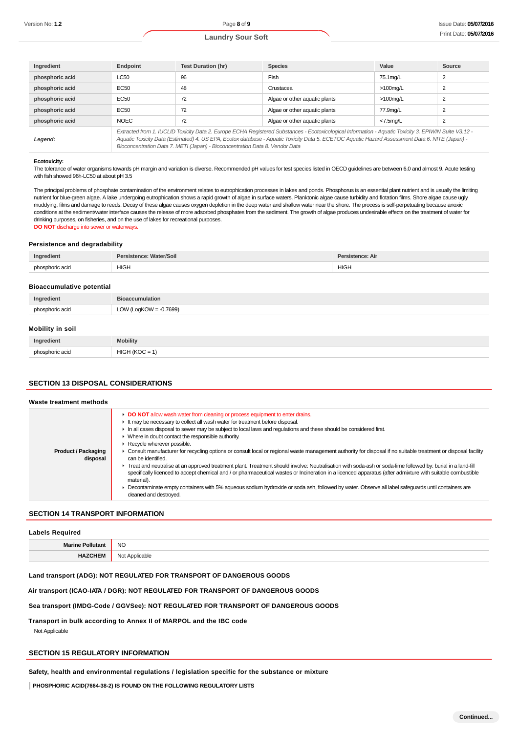| Ingredient      | Endpoint                                                                                                                                                                                                                                                                                                                                                                                 | <b>Test Duration (hr)</b> | <b>Species</b>                | Value       | Source |
|-----------------|------------------------------------------------------------------------------------------------------------------------------------------------------------------------------------------------------------------------------------------------------------------------------------------------------------------------------------------------------------------------------------------|---------------------------|-------------------------------|-------------|--------|
| phosphoric acid | <b>LC50</b>                                                                                                                                                                                                                                                                                                                                                                              | 96                        | Fish                          | 75.1mg/L    | 2      |
| phosphoric acid | EC50                                                                                                                                                                                                                                                                                                                                                                                     | 48                        | Crustacea                     | $>100$ mg/L | 2      |
| phosphoric acid | EC50                                                                                                                                                                                                                                                                                                                                                                                     | 72                        | Algae or other aquatic plants | $>100$ mg/L | 2      |
| phosphoric acid | EC50                                                                                                                                                                                                                                                                                                                                                                                     | 72                        | Algae or other aquatic plants | 77.9mg/L    | 2      |
| phosphoric acid | <b>NOEC</b>                                                                                                                                                                                                                                                                                                                                                                              | 72                        | Algae or other aquatic plants | $<7.5$ mg/L | 2      |
| Legend:         | Extracted from 1. IUCLID Toxicity Data 2. Europe ECHA Registered Substances - Ecotoxicological Information - Aquatic Toxicity 3. EPIWIN Suite V3.12 -<br>Aquatic Toxicity Data (Estimated) 4. US EPA, Ecotox database - Aquatic Toxicity Data 5. ECETOC Aquatic Hazard Assessment Data 6. NITE (Japan) -<br>Bioconcentration Data 7. METI (Japan) - Bioconcentration Data 8. Vendor Data |                           |                               |             |        |

#### **Ecotoxicity:**

The tolerance of water organisms towards pH margin and variation is diverse. Recommended pH values for test species listed in OECD guidelines are between 6.0 and almost 9. Acute testing with fish showed 96h-LC50 at about pH 3.5

The principal problems of phosphate contamination of the environment relates to eutrophication processes in lakes and ponds. Phosphorus is an essential plant nutrient and is usually the limiting nutrient for blue-green algae. A lake undergoing eutrophication shows a rapid growth of algae in surface waters. Planktonic algae cause turbidity and flotation films. Shore algae cause ugly muddying, films and damage to reeds. Decay of these algae causes oxygen depletion in the deep water and shallow water near the shore. The process is self-perpetuating because anoxic conditions at the sediment/water interface causes the release of more adsorbed phosphates from the sediment. The growth of algae produces undesirable effects on the treatment of water for drinking purposes, on fisheries, and on the use of lakes for recreational purposes. **DO NOT** discharge into sewer or waterways.

#### **Persistence and degradability**

| Ingredient              | <b>Water/Soil</b><br>Persistence: | າce: Air<br>the contract of the contract of |
|-------------------------|-----------------------------------|---------------------------------------------|
| phosphoric acid<br>$-1$ | HIGH                              | <b>HIGH</b>                                 |

#### **Bioaccumulative potential**

| Ingredient       | <b>Bioaccumulation</b>    |
|------------------|---------------------------|
| phosphoric acid  | LOW (LogKOW = $-0.7699$ ) |
| Mobility in soil |                           |
| Ingredient       | <b>Mobility</b>           |

# **SECTION 13 DISPOSAL CONSIDERATIONS**

phosphoric acid HIGH (KOC = 1)

| <b>Product / Packaging</b><br>disposal | DO NOT allow wash water from cleaning or process equipment to enter drains.<br>It may be necessary to collect all wash water for treatment before disposal.<br>In all cases disposal to sewer may be subject to local laws and regulations and these should be considered first.<br>$\triangleright$ Where in doubt contact the responsible authority.<br>Recycle wherever possible.<br>• Consult manufacturer for recycling options or consult local or regional waste management authority for disposal if no suitable treatment or disposal facility<br>can be identified.<br>Freat and neutralise at an approved treatment plant. Treatment should involve: Neutralisation with soda-ash or soda-lime followed by: burial in a land-fill<br>specifically licenced to accept chemical and / or pharmaceutical wastes or Incineration in a licenced apparatus (after admixture with suitable combustible<br>material). |
|----------------------------------------|--------------------------------------------------------------------------------------------------------------------------------------------------------------------------------------------------------------------------------------------------------------------------------------------------------------------------------------------------------------------------------------------------------------------------------------------------------------------------------------------------------------------------------------------------------------------------------------------------------------------------------------------------------------------------------------------------------------------------------------------------------------------------------------------------------------------------------------------------------------------------------------------------------------------------|
|                                        | • Decontaminate empty containers with 5% aqueous sodium hydroxide or soda ash, followed by water. Observe all label safeguards until containers are<br>cleaned and destroyed.                                                                                                                                                                                                                                                                                                                                                                                                                                                                                                                                                                                                                                                                                                                                            |

### **SECTION 14 TRANSPORT INFORMATION**

#### **Labels Required**

| Morin | <b>NO</b><br>___       |
|-------|------------------------|
| _____ | N۸<br>סוכוני<br>∾<br>. |

#### **Land transport (ADG): NOT REGULATED FOR TRANSPORT OF DANGEROUS GOODS**

#### **Air transport (ICAO-IATA / DGR): NOT REGULATED FOR TRANSPORT OF DANGEROUS GOODS**

#### **Sea transport (IMDG-Code / GGVSee): NOT REGULATED FOR TRANSPORT OF DANGEROUS GOODS**

**Transport in bulk according to Annex II of MARPOL and the IBC code**

Not Applicable

### **SECTION 15 REGULATORY INFORMATION**

**Safety, health and environmental regulations / legislation specific for the substance or mixture**

**PHOSPHORIC ACID(7664-38-2) IS FOUND ON THE FOLLOWING REGULATORY LISTS**